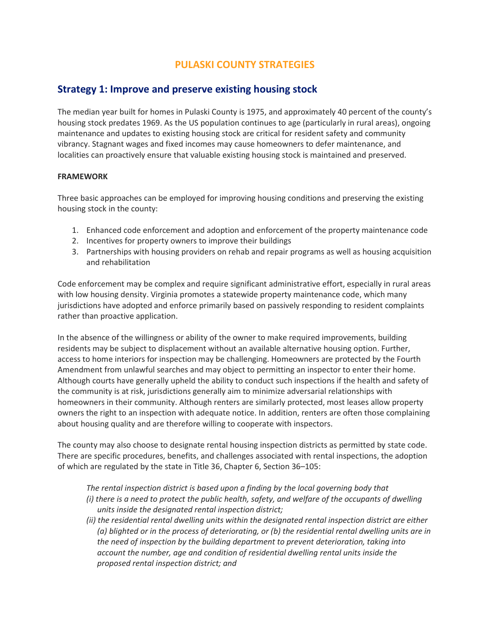# **PULASKI COUNTY STRATEGIES**

# **Strategy 1: Improve and preserve existing housing stock**

The median year built for homes in Pulaski County is 1975, and approximately 40 percent of the county's housing stock predates 1969. As the US population continues to age (particularly in rural areas), ongoing maintenance and updates to existing housing stock are critical for resident safety and community vibrancy. Stagnant wages and fixed incomes may cause homeowners to defer maintenance, and localities can proactively ensure that valuable existing housing stock is maintained and preserved.

#### **FRAMEWORK**

Three basic approaches can be employed for improving housing conditions and preserving the existing housing stock in the county:

- 1. Enhanced code enforcement and adoption and enforcement of the property maintenance code
- 2. Incentives for property owners to improve their buildings
- 3. Partnerships with housing providers on rehab and repair programs as well as housing acquisition and rehabilitation

Code enforcement may be complex and require significant administrative effort, especially in rural areas with low housing density. Virginia promotes a statewide property maintenance code, which many jurisdictions have adopted and enforce primarily based on passively responding to resident complaints rather than proactive application.

In the absence of the willingness or ability of the owner to make required improvements, building residents may be subject to displacement without an available alternative housing option. Further, access to home interiors for inspection may be challenging. Homeowners are protected by the Fourth Amendment from unlawful searches and may object to permitting an inspector to enter their home. Although courts have generally upheld the ability to conduct such inspections if the health and safety of the community is at risk, jurisdictions generally aim to minimize adversarial relationships with homeowners in their community. Although renters are similarly protected, most leases allow property owners the right to an inspection with adequate notice. In addition, renters are often those complaining about housing quality and are therefore willing to cooperate with inspectors.

The county may also choose to designate rental housing inspection districts as permitted by state code. There are specific procedures, benefits, and challenges associated with rental inspections, the adoption of which are regulated by the state in Title 36, Chapter 6, Section 36–105:

*The rental inspection district is based upon a finding by the local governing body that (i) there is a need to protect the public health, safety, and welfare of the occupants of dwelling units inside the designated rental inspection district;* 

*(ii) the residential rental dwelling units within the designated rental inspection district are either (a) blighted or in the process of deteriorating, or (b) the residential rental dwelling units are in the need of inspection by the building department to prevent deterioration, taking into account the number, age and condition of residential dwelling rental units inside the proposed rental inspection district; and*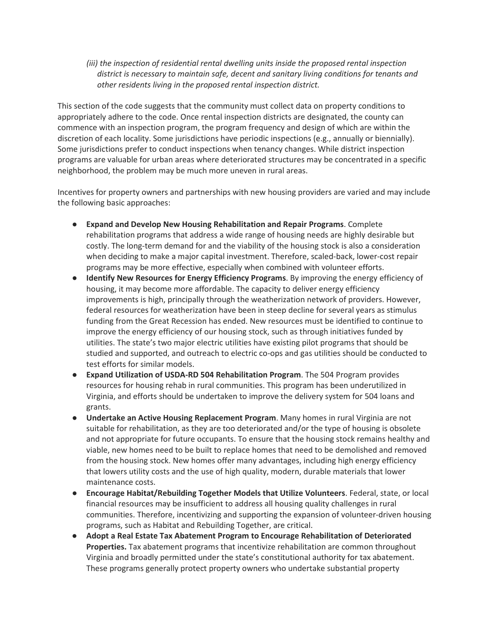*(iii) the inspection of residential rental dwelling units inside the proposed rental inspection district is necessary to maintain safe, decent and sanitary living conditions for tenants and other residents living in the proposed rental inspection district.*

This section of the code suggests that the community must collect data on property conditions to appropriately adhere to the code. Once rental inspection districts are designated, the county can commence with an inspection program, the program frequency and design of which are within the discretion of each locality. Some jurisdictions have periodic inspections (e.g., annually or biennially). Some jurisdictions prefer to conduct inspections when tenancy changes. While district inspection programs are valuable for urban areas where deteriorated structures may be concentrated in a specific neighborhood, the problem may be much more uneven in rural areas.

Incentives for property owners and partnerships with new housing providers are varied and may include the following basic approaches:

- **Expand and Develop New Housing Rehabilitation and Repair Programs**. Complete rehabilitation programs that address a wide range of housing needs are highly desirable but costly. The long-term demand for and the viability of the housing stock is also a consideration when deciding to make a major capital investment. Therefore, scaled-back, lower-cost repair programs may be more effective, especially when combined with volunteer efforts.
- **Identify New Resources for Energy Efficiency Programs**. By improving the energy efficiency of housing, it may become more affordable. The capacity to deliver energy efficiency improvements is high, principally through the weatherization network of providers. However, federal resources for weatherization have been in steep decline for several years as stimulus funding from the Great Recession has ended. New resources must be identified to continue to improve the energy efficiency of our housing stock, such as through initiatives funded by utilities. The state's two major electric utilities have existing pilot programs that should be studied and supported, and outreach to electric co-ops and gas utilities should be conducted to test efforts for similar models.
- **Expand Utilization of USDA-RD 504 Rehabilitation Program**. The 504 Program provides resources for housing rehab in rural communities. This program has been underutilized in Virginia, and efforts should be undertaken to improve the delivery system for 504 loans and grants.
- **Undertake an Active Housing Replacement Program**. Many homes in rural Virginia are not suitable for rehabilitation, as they are too deteriorated and/or the type of housing is obsolete and not appropriate for future occupants. To ensure that the housing stock remains healthy and viable, new homes need to be built to replace homes that need to be demolished and removed from the housing stock. New homes offer many advantages, including high energy efficiency that lowers utility costs and the use of high quality, modern, durable materials that lower maintenance costs.
- **Encourage Habitat/Rebuilding Together Models that Utilize Volunteers**. Federal, state, or local financial resources may be insufficient to address all housing quality challenges in rural communities. Therefore, incentivizing and supporting the expansion of volunteer-driven housing programs, such as Habitat and Rebuilding Together, are critical.
- **Adopt a Real Estate Tax Abatement Program to Encourage Rehabilitation of Deteriorated Properties.** Tax abatement programs that incentivize rehabilitation are common throughout Virginia and broadly permitted under the state's constitutional authority for tax abatement. These programs generally protect property owners who undertake substantial property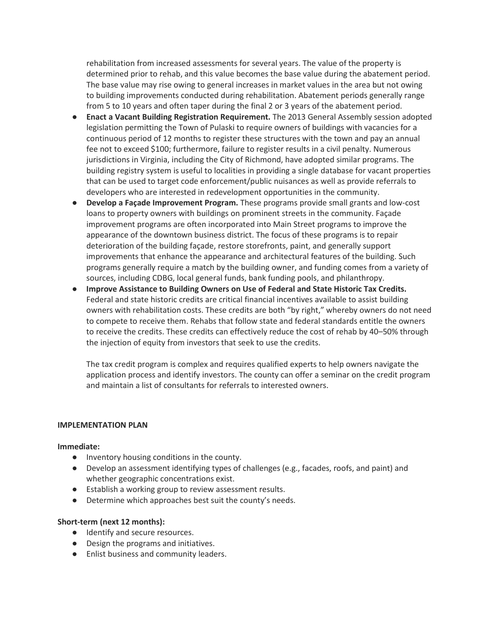rehabilitation from increased assessments for several years. The value of the property is determined prior to rehab, and this value becomes the base value during the abatement period. The base value may rise owing to general increases in market values in the area but not owing to building improvements conducted during rehabilitation. Abatement periods generally range from 5 to 10 years and often taper during the final 2 or 3 years of the abatement period.

- **Enact a Vacant Building Registration Requirement.** The 2013 General Assembly session adopted legislation permitting the Town of Pulaski to require owners of buildings with vacancies for a continuous period of 12 months to register these structures with the town and pay an annual fee not to exceed \$100; furthermore, failure to register results in a civil penalty. Numerous jurisdictions in Virginia, including the City of Richmond, have adopted similar programs. The building registry system is useful to localities in providing a single database for vacant properties that can be used to target code enforcement/public nuisances as well as provide referrals to developers who are interested in redevelopment opportunities in the community.
- **Develop a Façade Improvement Program.** These programs provide small grants and low-cost loans to property owners with buildings on prominent streets in the community. Façade improvement programs are often incorporated into Main Street programs to improve the appearance of the downtown business district. The focus of these programs is to repair deterioration of the building façade, restore storefronts, paint, and generally support improvements that enhance the appearance and architectural features of the building. Such programs generally require a match by the building owner, and funding comes from a variety of sources, including CDBG, local general funds, bank funding pools, and philanthropy.
- **Improve Assistance to Building Owners on Use of Federal and State Historic Tax Credits.**  Federal and state historic credits are critical financial incentives available to assist building owners with rehabilitation costs. These credits are both "by right," whereby owners do not need to compete to receive them. Rehabs that follow state and federal standards entitle the owners to receive the credits. These credits can effectively reduce the cost of rehab by 40–50% through the injection of equity from investors that seek to use the credits.

The tax credit program is complex and requires qualified experts to help owners navigate the application process and identify investors. The county can offer a seminar on the credit program and maintain a list of consultants for referrals to interested owners.

#### **IMPLEMENTATION PLAN**

#### **Immediate:**

- Inventory housing conditions in the county.
- Develop an assessment identifying types of challenges (e.g., facades, roofs, and paint) and whether geographic concentrations exist.
- Establish a working group to review assessment results.
- Determine which approaches best suit the county's needs.

#### **Short-term (next 12 months):**

- Identify and secure resources.
- Design the programs and initiatives.
- Enlist business and community leaders.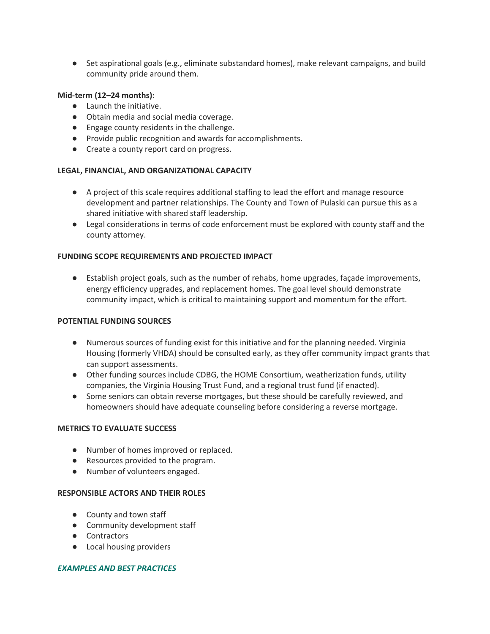● Set aspirational goals (e.g., eliminate substandard homes), make relevant campaigns, and build community pride around them.

#### **Mid-term (12–24 months):**

- Launch the initiative.
- Obtain media and social media coverage.
- Engage county residents in the challenge.
- Provide public recognition and awards for accomplishments.
- Create a county report card on progress.

# **LEGAL, FINANCIAL, AND ORGANIZATIONAL CAPACITY**

- A project of this scale requires additional staffing to lead the effort and manage resource development and partner relationships. The County and Town of Pulaski can pursue this as a shared initiative with shared staff leadership.
- Legal considerations in terms of code enforcement must be explored with county staff and the county attorney.

## **FUNDING SCOPE REQUIREMENTS AND PROJECTED IMPACT**

● Establish project goals, such as the number of rehabs, home upgrades, façade improvements, energy efficiency upgrades, and replacement homes. The goal level should demonstrate community impact, which is critical to maintaining support and momentum for the effort.

#### **POTENTIAL FUNDING SOURCES**

- Numerous sources of funding exist for this initiative and for the planning needed. Virginia Housing (formerly VHDA) should be consulted early, as they offer community impact grants that can support assessments.
- Other funding sources include CDBG, the HOME Consortium, weatherization funds, utility companies, the Virginia Housing Trust Fund, and a regional trust fund (if enacted).
- Some seniors can obtain reverse mortgages, but these should be carefully reviewed, and homeowners should have adequate counseling before considering a reverse mortgage.

## **METRICS TO EVALUATE SUCCESS**

- Number of homes improved or replaced.
- Resources provided to the program.
- Number of volunteers engaged.

### **RESPONSIBLE ACTORS AND THEIR ROLES**

- County and town staff
- Community development staff
- Contractors
- Local housing providers

#### *EXAMPLES AND BEST PRACTICES*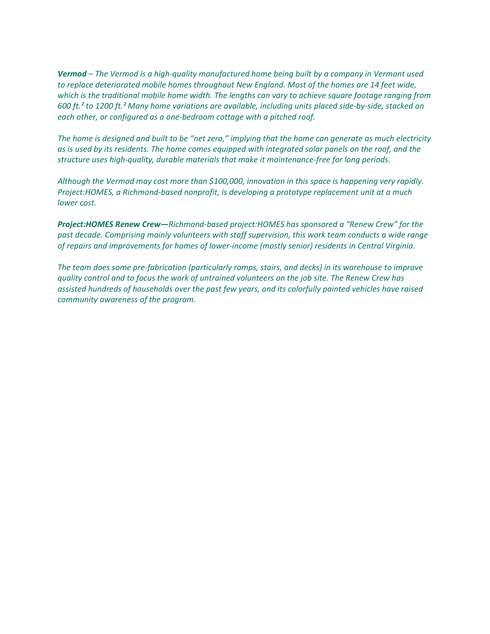*Vermod – The Vermod is a high-quality manufactured home being built by a company in Vermont used to replace deteriorated mobile homes throughout New England. Most of the homes are 14 feet wide, which is the traditional mobile home width. The lengths can vary to achieve square footage ranging from 600 ft.² to 1200 ft.² Many home variations are available, including units placed side-by-side, stacked on each other, or configured as a one-bedroom cottage with a pitched roof.*

*The home is designed and built to be "net zero," implying that the home can generate as much electricity as is used by its residents. The home comes equipped with integrated solar panels on the roof, and the structure uses high-quality, durable materials that make it maintenance-free for long periods.*

*Although the Vermod may cost more than \$100,000, innovation in this space is happening very rapidly. Project:HOMES, a Richmond-based nonprofit, is developing a prototype replacement unit at a much lower cost.*

*Project:HOMES Renew Crew—Richmond-based project:HOMES has sponsored a "Renew Crew" for the past decade. Comprising mainly volunteers with staff supervision, this work team conducts a wide range of repairs and improvements for homes of lower-income (mostly senior) residents in Central Virginia.* 

*The team does some pre-fabrication (particularly ramps, stairs, and decks) in its warehouse to improve quality control and to focus the work of untrained volunteers on the job site. The Renew Crew has assisted hundreds of households over the past few years, and its colorfully painted vehicles have raised community awareness of the program.*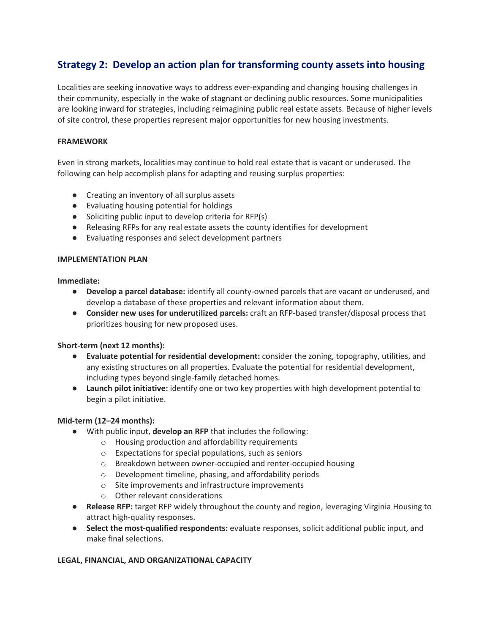# **Strategy 2: Develop an action plan for transforming county assets into housing**

Localities are seeking innovative ways to address ever-expanding and changing housing challenges in their community, especially in the wake of stagnant or declining public resources. Some municipalities are looking inward for strategies, including reimagining public real estate assets. Because of higher levels of site control, these properties represent major opportunities for new housing investments.

## **FRAMEWORK**

Even in strong markets, localities may continue to hold real estate that is vacant or underused. The following can help accomplish plans for adapting and reusing surplus properties:

- Creating an inventory of all surplus assets
- Evaluating housing potential for holdings
- Soliciting public input to develop criteria for RFP(s)
- Releasing RFPs for any real estate assets the county identifies for development
- Evaluating responses and select development partners

#### **IMPLEMENTATION PLAN**

**Immediate:**

- **Develop a parcel database:** identify all county-owned parcels that are vacant or underused, and develop a database of these properties and relevant information about them.
- **Consider new uses for underutilized parcels:** craft an RFP-based transfer/disposal process that prioritizes housing for new proposed uses.

#### **Short-term (next 12 months):**

- **Evaluate potential for residential development:** consider the zoning, topography, utilities, and any existing structures on all properties. Evaluate the potential for residential development, including types beyond single-family detached homes.
- **Launch pilot initiative:** identify one or two key properties with high development potential to begin a pilot initiative.

#### **Mid-term (12–24 months):**

- With public input, **develop an RFP** that includes the following:
	- o Housing production and affordability requirements
	- o Expectations for special populations, such as seniors
	- o Breakdown between owner-occupied and renter-occupied housing
	- o Development timeline, phasing, and affordability periods
	- o Site improvements and infrastructure improvements
	- o Other relevant considerations
- **Release RFP:** target RFP widely throughout the county and region, leveraging Virginia Housing to attract high-quality responses.
- **Select the most-qualified respondents:** evaluate responses, solicit additional public input, and make final selections.

#### **LEGAL, FINANCIAL, AND ORGANIZATIONAL CAPACITY**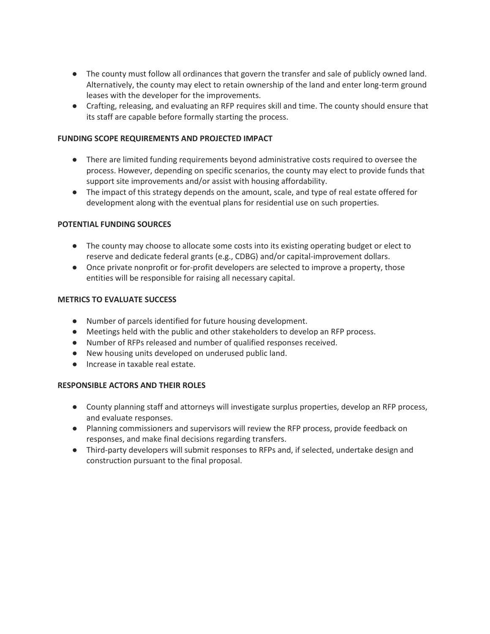- The county must follow all ordinances that govern the transfer and sale of publicly owned land. Alternatively, the county may elect to retain ownership of the land and enter long-term ground leases with the developer for the improvements.
- Crafting, releasing, and evaluating an RFP requires skill and time. The county should ensure that its staff are capable before formally starting the process.

## **FUNDING SCOPE REQUIREMENTS AND PROJECTED IMPACT**

- There are limited funding requirements beyond administrative costs required to oversee the process. However, depending on specific scenarios, the county may elect to provide funds that support site improvements and/or assist with housing affordability.
- The impact of this strategy depends on the amount, scale, and type of real estate offered for development along with the eventual plans for residential use on such properties.

#### **POTENTIAL FUNDING SOURCES**

- The county may choose to allocate some costs into its existing operating budget or elect to reserve and dedicate federal grants (e.g., CDBG) and/or capital-improvement dollars.
- Once private nonprofit or for-profit developers are selected to improve a property, those entities will be responsible for raising all necessary capital.

#### **METRICS TO EVALUATE SUCCESS**

- Number of parcels identified for future housing development.
- Meetings held with the public and other stakeholders to develop an RFP process.
- Number of RFPs released and number of qualified responses received.
- New housing units developed on underused public land.
- Increase in taxable real estate.

#### **RESPONSIBLE ACTORS AND THEIR ROLES**

- County planning staff and attorneys will investigate surplus properties, develop an RFP process, and evaluate responses.
- Planning commissioners and supervisors will review the RFP process, provide feedback on responses, and make final decisions regarding transfers.
- Third-party developers will submit responses to RFPs and, if selected, undertake design and construction pursuant to the final proposal.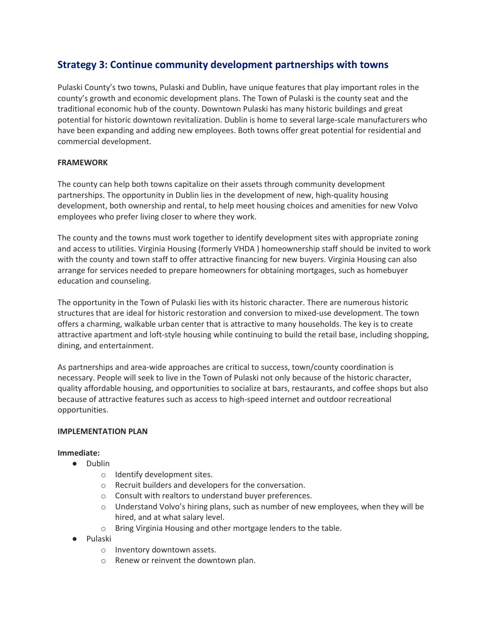# **Strategy 3: Continue community development partnerships with towns**

Pulaski County's two towns, Pulaski and Dublin, have unique features that play important roles in the county's growth and economic development plans. The Town of Pulaski is the county seat and the traditional economic hub of the county. Downtown Pulaski has many historic buildings and great potential for historic downtown revitalization. Dublin is home to several large-scale manufacturers who have been expanding and adding new employees. Both towns offer great potential for residential and commercial development.

## **FRAMEWORK**

The county can help both towns capitalize on their assets through community development partnerships. The opportunity in Dublin lies in the development of new, high-quality housing development, both ownership and rental, to help meet housing choices and amenities for new Volvo employees who prefer living closer to where they work.

The county and the towns must work together to identify development sites with appropriate zoning and access to utilities. Virginia Housing (formerly VHDA ) homeownership staff should be invited to work with the county and town staff to offer attractive financing for new buyers. Virginia Housing can also arrange for services needed to prepare homeowners for obtaining mortgages, such as homebuyer education and counseling.

The opportunity in the Town of Pulaski lies with its historic character. There are numerous historic structures that are ideal for historic restoration and conversion to mixed-use development. The town offers a charming, walkable urban center that is attractive to many households. The key is to create attractive apartment and loft-style housing while continuing to build the retail base, including shopping, dining, and entertainment.

As partnerships and area-wide approaches are critical to success, town/county coordination is necessary. People will seek to live in the Town of Pulaski not only because of the historic character, quality affordable housing, and opportunities to socialize at bars, restaurants, and coffee shops but also because of attractive features such as access to high-speed internet and outdoor recreational opportunities.

#### **IMPLEMENTATION PLAN**

**Immediate:**

- Dublin
	- o Identify development sites.
	- o Recruit builders and developers for the conversation.
	- o Consult with realtors to understand buyer preferences.
	- $\circ$  Understand Volvo's hiring plans, such as number of new employees, when they will be hired, and at what salary level.
	- o Bring Virginia Housing and other mortgage lenders to the table.
- Pulaski
	- o Inventory downtown assets.
	- o Renew or reinvent the downtown plan.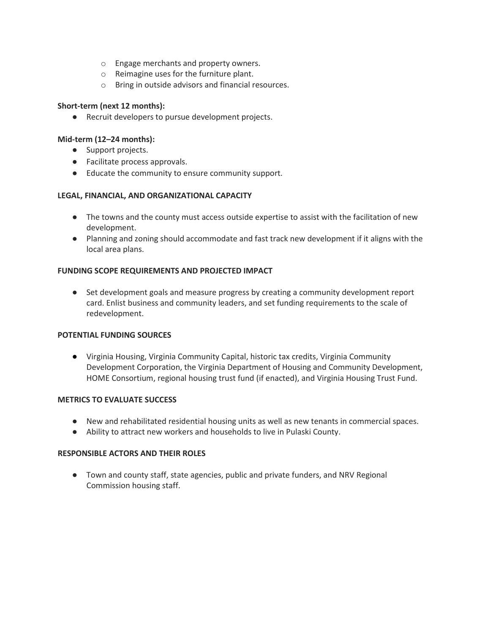- o Engage merchants and property owners.
- o Reimagine uses for the furniture plant.
- o Bring in outside advisors and financial resources.

## **Short-term (next 12 months):**

● Recruit developers to pursue development projects.

## **Mid-term (12–24 months):**

- Support projects.
- Facilitate process approvals.
- Educate the community to ensure community support.

## **LEGAL, FINANCIAL, AND ORGANIZATIONAL CAPACITY**

- The towns and the county must access outside expertise to assist with the facilitation of new development.
- Planning and zoning should accommodate and fast track new development if it aligns with the local area plans.

## **FUNDING SCOPE REQUIREMENTS AND PROJECTED IMPACT**

● Set development goals and measure progress by creating a community development report card. Enlist business and community leaders, and set funding requirements to the scale of redevelopment.

#### **POTENTIAL FUNDING SOURCES**

● Virginia Housing, Virginia Community Capital, historic tax credits, Virginia Community Development Corporation, the Virginia Department of Housing and Community Development, HOME Consortium, regional housing trust fund (if enacted), and Virginia Housing Trust Fund.

#### **METRICS TO EVALUATE SUCCESS**

- New and rehabilitated residential housing units as well as new tenants in commercial spaces.
- Ability to attract new workers and households to live in Pulaski County.

### **RESPONSIBLE ACTORS AND THEIR ROLES**

● Town and county staff, state agencies, public and private funders, and NRV Regional Commission housing staff.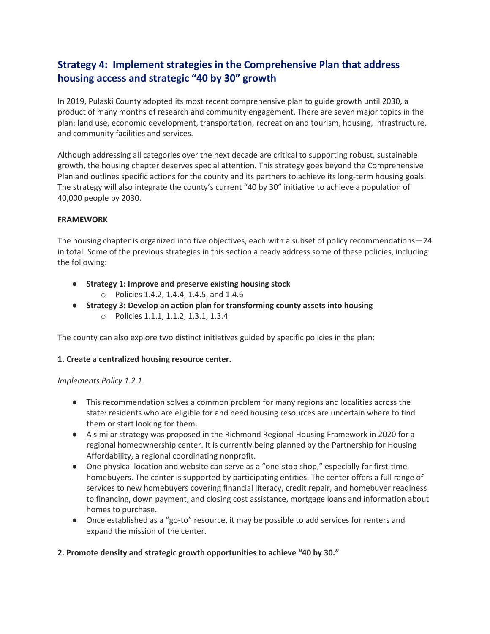# **Strategy 4: Implement strategies in the Comprehensive Plan that address housing access and strategic "40 by 30" growth**

In 2019, Pulaski County adopted its most recent comprehensive plan to guide growth until 2030, a product of many months of research and community engagement. There are seven major topics in the plan: land use, economic development, transportation, recreation and tourism, housing, infrastructure, and community facilities and services.

Although addressing all categories over the next decade are critical to supporting robust, sustainable growth, the housing chapter deserves special attention. This strategy goes beyond the Comprehensive Plan and outlines specific actions for the county and its partners to achieve its long-term housing goals. The strategy will also integrate the county's current "40 by 30" initiative to achieve a population of 40,000 people by 2030.

#### **FRAMEWORK**

The housing chapter is organized into five objectives, each with a subset of policy recommendations—24 in total. Some of the previous strategies in this section already address some of these policies, including the following:

- **Strategy 1: Improve and preserve existing housing stock**
	- o Policies 1.4.2, 1.4.4, 1.4.5, and 1.4.6
- **Strategy 3: Develop an action plan for transforming county assets into housing** o Policies 1.1.1, 1.1.2, 1.3.1, 1.3.4

The county can also explore two distinct initiatives guided by specific policies in the plan:

# **1. Create a centralized housing resource center.**

#### *Implements Policy 1.2.1.*

- This recommendation solves a common problem for many regions and localities across the state: residents who are eligible for and need housing resources are uncertain where to find them or start looking for them.
- A similar strategy was proposed in the Richmond Regional Housing Framework in 2020 for a regional homeownership center. It is currently being planned by the Partnership for Housing Affordability, a regional coordinating nonprofit.
- One physical location and website can serve as a "one-stop shop," especially for first-time homebuyers. The center is supported by participating entities. The center offers a full range of services to new homebuyers covering financial literacy, credit repair, and homebuyer readiness to financing, down payment, and closing cost assistance, mortgage loans and information about homes to purchase.
- Once established as a "go-to" resource, it may be possible to add services for renters and expand the mission of the center.

# **2. Promote density and strategic growth opportunities to achieve "40 by 30."**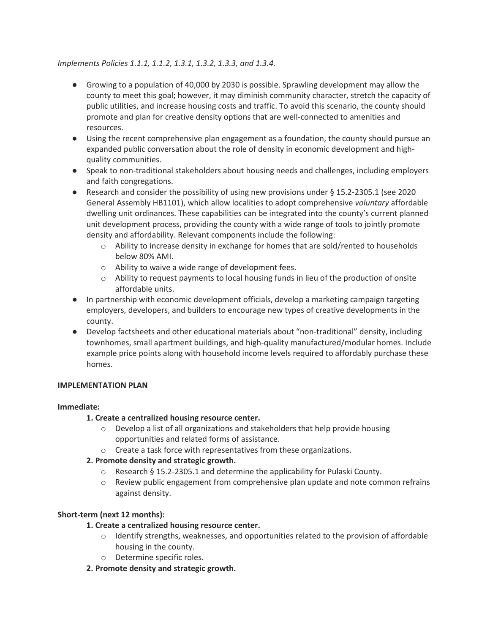## *Implements Policies 1.1.1, 1.1.2, 1.3.1, 1.3.2, 1.3.3, and 1.3.4.*

- Growing to a population of 40,000 by 2030 is possible. Sprawling development may allow the county to meet this goal; however, it may diminish community character, stretch the capacity of public utilities, and increase housing costs and traffic. To avoid this scenario, the county should promote and plan for creative density options that are well-connected to amenities and resources.
- Using the recent comprehensive plan engagement as a foundation, the county should pursue an expanded public conversation about the role of density in economic development and highquality communities.
- Speak to non-traditional stakeholders about housing needs and challenges, including employers and faith congregations.
- Research and consider the possibility of using new provisions under § 15.2-2305.1 (see 2020 General Assembly HB1101), which allow localities to adopt comprehensive *voluntary* affordable dwelling unit ordinances. These capabilities can be integrated into the county's current planned unit development process, providing the county with a wide range of tools to jointly promote density and affordability. Relevant components include the following:
	- $\circ$  Ability to increase density in exchange for homes that are sold/rented to households below 80% AMI.
	- o Ability to waive a wide range of development fees.
	- $\circ$  Ability to request payments to local housing funds in lieu of the production of onsite affordable units.
- In partnership with economic development officials, develop a marketing campaign targeting employers, developers, and builders to encourage new types of creative developments in the county.
- Develop factsheets and other educational materials about "non-traditional" density, including townhomes, small apartment buildings, and high-quality manufactured/modular homes. Include example price points along with household income levels required to affordably purchase these homes.

#### **IMPLEMENTATION PLAN**

#### **Immediate:**

# **1. Create a centralized housing resource center.**

- $\circ$  Develop a list of all organizations and stakeholders that help provide housing opportunities and related forms of assistance.
- o Create a task force with representatives from these organizations.

# **2. Promote density and strategic growth.**

- o Research § 15.2-2305.1 and determine the applicability for Pulaski County.
- $\circ$  Review public engagement from comprehensive plan update and note common refrains against density.

# **Short-term (next 12 months):**

#### **1. Create a centralized housing resource center.**

- $\circ$  Identify strengths, weaknesses, and opportunities related to the provision of affordable housing in the county.
- o Determine specific roles.

#### **2. Promote density and strategic growth.**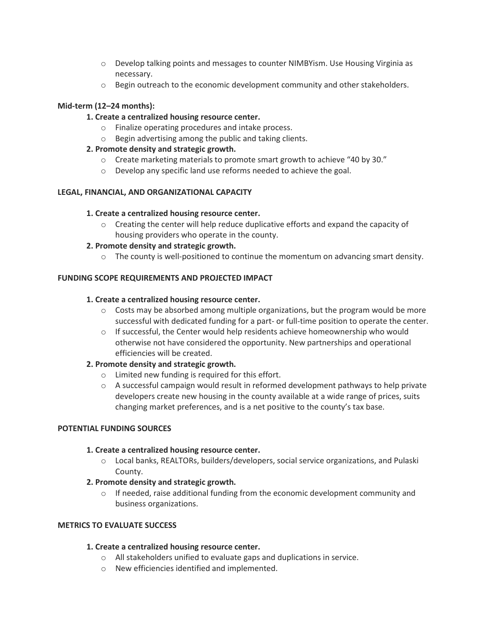- $\circ$  Develop talking points and messages to counter NIMBY ism. Use Housing Virginia as necessary.
- $\circ$  Begin outreach to the economic development community and other stakeholders.

# **Mid-term (12–24 months):**

## **1. Create a centralized housing resource center.**

- o Finalize operating procedures and intake process.
- o Begin advertising among the public and taking clients.

## **2. Promote density and strategic growth.**

- $\circ$  Create marketing materials to promote smart growth to achieve "40 by 30."
- o Develop any specific land use reforms needed to achieve the goal.

## **LEGAL, FINANCIAL, AND ORGANIZATIONAL CAPACITY**

#### **1. Create a centralized housing resource center.**

 $\circ$  Creating the center will help reduce duplicative efforts and expand the capacity of housing providers who operate in the county.

## **2. Promote density and strategic growth.**

 $\circ$  The county is well-positioned to continue the momentum on advancing smart density.

## **FUNDING SCOPE REQUIREMENTS AND PROJECTED IMPACT**

#### **1. Create a centralized housing resource center.**

- $\circ$  Costs may be absorbed among multiple organizations, but the program would be more successful with dedicated funding for a part- or full-time position to operate the center.
- $\circ$  If successful, the Center would help residents achieve homeownership who would otherwise not have considered the opportunity. New partnerships and operational efficiencies will be created.

#### **2. Promote density and strategic growth.**

- o Limited new funding is required for this effort.
- $\circ$  A successful campaign would result in reformed development pathways to help private developers create new housing in the county available at a wide range of prices, suits changing market preferences, and is a net positive to the county's tax base.

#### **POTENTIAL FUNDING SOURCES**

#### **1. Create a centralized housing resource center.**

- $\circ$  Local banks, REALTORs, builders/developers, social service organizations, and Pulaski County.
- **2. Promote density and strategic growth.**
	- $\circ$  If needed, raise additional funding from the economic development community and business organizations.

## **METRICS TO EVALUATE SUCCESS**

#### **1. Create a centralized housing resource center.**

- o All stakeholders unified to evaluate gaps and duplications in service.
- o New efficiencies identified and implemented.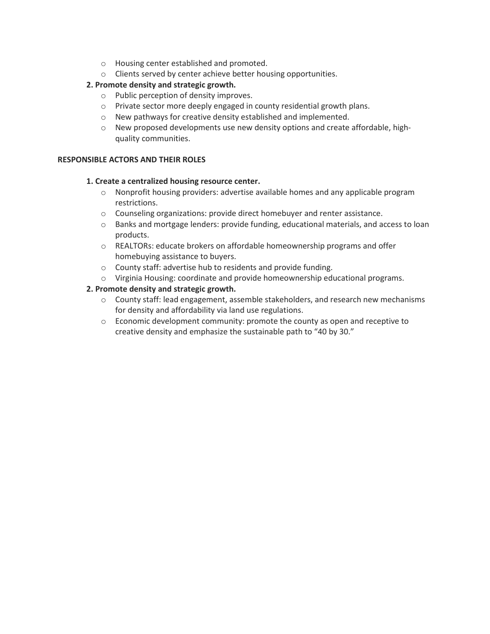- o Housing center established and promoted.
- o Clients served by center achieve better housing opportunities.

# **2. Promote density and strategic growth.**

- o Public perception of density improves.
- o Private sector more deeply engaged in county residential growth plans.
- o New pathways for creative density established and implemented.
- o New proposed developments use new density options and create affordable, highquality communities.

## **RESPONSIBLE ACTORS AND THEIR ROLES**

#### **1. Create a centralized housing resource center.**

- o Nonprofit housing providers: advertise available homes and any applicable program restrictions.
- $\circ$  Counseling organizations: provide direct homebuyer and renter assistance.
- o Banks and mortgage lenders: provide funding, educational materials, and access to loan products.
- o REALTORs: educate brokers on affordable homeownership programs and offer homebuying assistance to buyers.
- o County staff: advertise hub to residents and provide funding.
- o Virginia Housing: coordinate and provide homeownership educational programs.

## **2. Promote density and strategic growth.**

- o County staff: lead engagement, assemble stakeholders, and research new mechanisms for density and affordability via land use regulations.
- $\circ$  Economic development community: promote the county as open and receptive to creative density and emphasize the sustainable path to "40 by 30."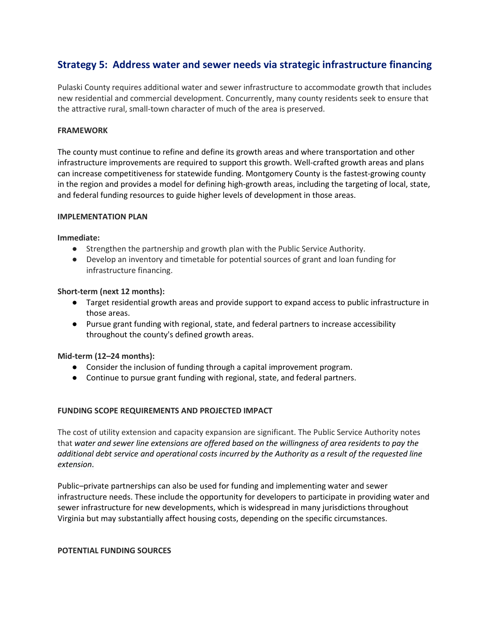# **Strategy 5: Address water and sewer needs via strategic infrastructure financing**

Pulaski County requires additional water and sewer infrastructure to accommodate growth that includes new residential and commercial development. Concurrently, many county residents seek to ensure that the attractive rural, small-town character of much of the area is preserved.

#### **FRAMEWORK**

The county must continue to refine and define its growth areas and where transportation and other infrastructure improvements are required to support this growth. Well-crafted growth areas and plans can increase competitiveness for statewide funding. Montgomery County is the fastest-growing county in the region and provides a model for defining high-growth areas, including the targeting of local, state, and federal funding resources to guide higher levels of development in those areas.

#### **IMPLEMENTATION PLAN**

#### **Immediate:**

- Strengthen the partnership and growth plan with the Public Service Authority.
- Develop an inventory and timetable for potential sources of grant and loan funding for infrastructure financing.

#### **Short-term (next 12 months):**

- Target residential growth areas and provide support to expand access to public infrastructure in those areas.
- Pursue grant funding with regional, state, and federal partners to increase accessibility throughout the county's defined growth areas.

#### **Mid-term (12–24 months):**

- Consider the inclusion of funding through a capital improvement program.
- Continue to pursue grant funding with regional, state, and federal partners.

#### **FUNDING SCOPE REQUIREMENTS AND PROJECTED IMPACT**

The cost of utility extension and capacity expansion are significant. The Public Service Authority notes that *water and sewer line extensions are offered based on the willingness of area residents to pay the additional debt service and operational costs incurred by the Authority as a result of the requested line extension*.

Public–private partnerships can also be used for funding and implementing water and sewer infrastructure needs. These include the opportunity for developers to participate in providing water and sewer infrastructure for new developments, which is widespread in many jurisdictions throughout Virginia but may substantially affect housing costs, depending on the specific circumstances.

#### **POTENTIAL FUNDING SOURCES**